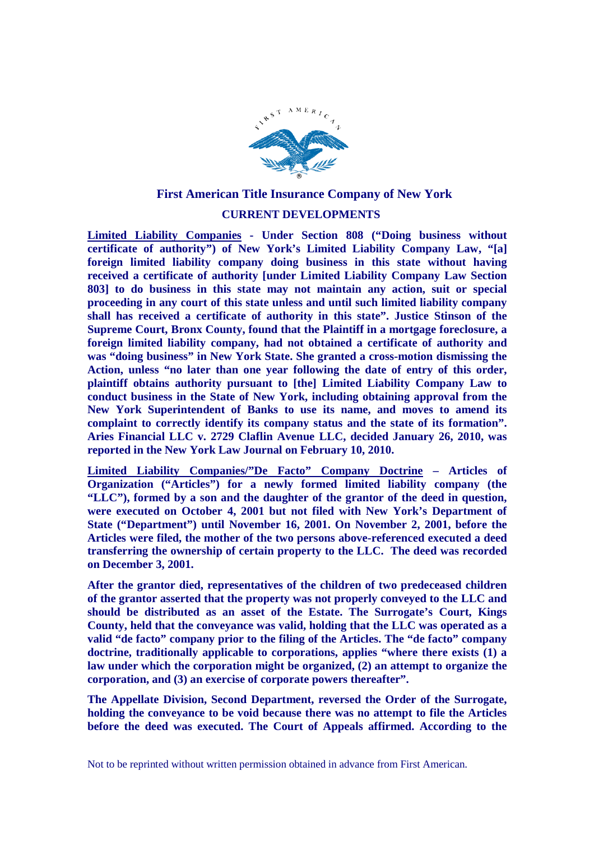

## **First American Title Insurance Company of New York**

## **CURRENT DEVELOPMENTS**

**Limited Liability Companies - Under Section 808 ("Doing business without certificate of authority") of New York's Limited Liability Company Law, "[a] foreign limited liability company doing business in this state without having received a certificate of authority [under Limited Liability Company Law Section 803] to do business in this state may not maintain any action, suit or special proceeding in any court of this state unless and until such limited liability company shall has received a certificate of authority in this state". Justice Stinson of the Supreme Court, Bronx County, found that the Plaintiff in a mortgage foreclosure, a foreign limited liability company, had not obtained a certificate of authority and was "doing business" in New York State. She granted a cross-motion dismissing the Action, unless "no later than one year following the date of entry of this order, plaintiff obtains authority pursuant to [the] Limited Liability Company Law to conduct business in the State of New York, including obtaining approval from the New York Superintendent of Banks to use its name, and moves to amend its complaint to correctly identify its company status and the state of its formation". Aries Financial LLC v. 2729 Claflin Avenue LLC, decided January 26, 2010, was reported in the New York Law Journal on February 10, 2010.**

**Limited Liability Companies/"De Facto" Company Doctrine – Articles of Organization ("Articles") for a newly formed limited liability company (the "LLC"), formed by a son and the daughter of the grantor of the deed in question, were executed on October 4, 2001 but not filed with New York's Department of State ("Department") until November 16, 2001. On November 2, 2001, before the Articles were filed, the mother of the two persons above-referenced executed a deed transferring the ownership of certain property to the LLC. The deed was recorded on December 3, 2001.**

**After the grantor died, representatives of the children of two predeceased children of the grantor asserted that the property was not properly conveyed to the LLC and should be distributed as an asset of the Estate. The Surrogate's Court, Kings County, held that the conveyance was valid, holding that the LLC was operated as a valid "de facto" company prior to the filing of the Articles. The "de facto" company doctrine, traditionally applicable to corporations, applies "where there exists (1) a law under which the corporation might be organized, (2) an attempt to organize the corporation, and (3) an exercise of corporate powers thereafter".**

**The Appellate Division, Second Department, reversed the Order of the Surrogate, holding the conveyance to be void because there was no attempt to file the Articles before the deed was executed. The Court of Appeals affirmed. According to the**

Not to be reprinted without written permission obtained in advance from First American.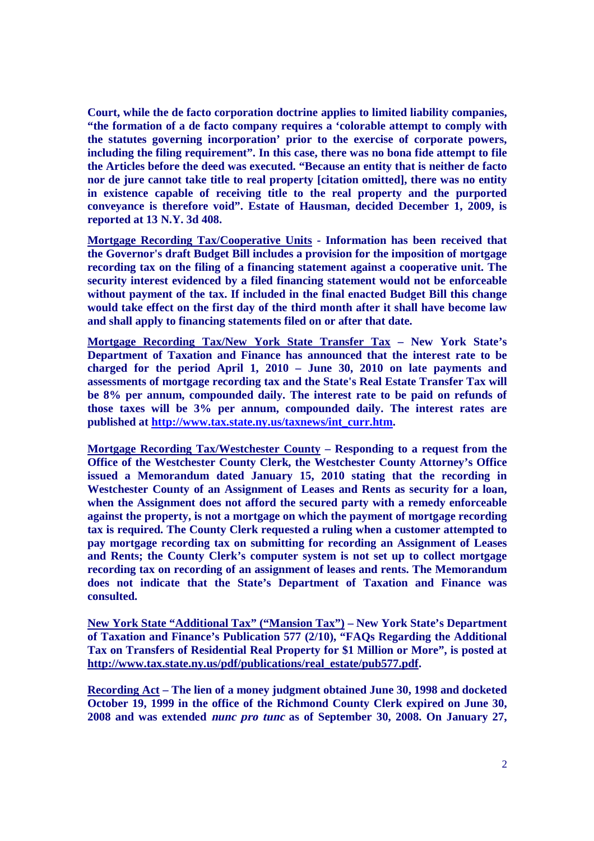**Court, while the de facto corporation doctrine applies to limited liability companies, "the formation of a de facto company requires a 'colorable attempt to comply with the statutes governing incorporation' prior to the exercise of corporate powers, including the filing requirement". In this case, there was no bona fide attempt to file the Articles before the deed was executed. "Because an entity that is neither de facto nor de jure cannot take title to real property [citation omitted], there was no entity in existence capable of receiving title to the real property and the purported conveyance is therefore void". Estate of Hausman, decided December 1, 2009, is reported at 13 N.Y. 3d 408.**

**Mortgage Recording Tax/Cooperative Units - Information has been received that the Governor's draft Budget Bill includes a provision for the imposition of mortgage recording tax on the filing of a financing statement against a cooperative unit. The security interest evidenced by a filed financing statement would not be enforceable without payment of the tax. If included in the final enacted Budget Bill this change would take effect on the first day of the third month after it shall have become law and shall apply to financing statements filed on or after that date.**

**Mortgage Recording Tax/New York State Transfer Tax – New York State's Department of Taxation and Finance has announced that the interest rate to be charged for the period April 1, 2010 – June 30, 2010 on late payments and assessments of mortgage recording tax and the State's Real Estate Transfer Tax will be 8% per annum, compounded daily. The interest rate to be paid on refunds of those taxes will be 3% per annum, compounded daily. The interest rates are published at http://www.tax.state.ny.us/taxnews/int\_curr.htm.**

**Mortgage Recording Tax/Westchester County – Responding to a request from the Office of the Westchester County Clerk, the Westchester County Attorney's Office issued a Memorandum dated January 15, 2010 stating that the recording in Westchester County of an Assignment of Leases and Rents as security for a loan, when the Assignment does not afford the secured party with a remedy enforceable against the property, is not a mortgage on which the payment of mortgage recording tax is required. The County Clerk requested a ruling when a customer attempted to pay mortgage recording tax on submitting for recording an Assignment of Leases and Rents; the County Clerk's computer system is not set up to collect mortgage recording tax on recording of an assignment of leases and rents. The Memorandum does not indicate that the State's Department of Taxation and Finance was consulted.**

**New York State "Additional Tax" ("Mansion Tax") – New York State's Department of Taxation and Finance's Publication 577 (2/10), "FAQs Regarding the Additional Tax on Transfers of Residential Real Property for \$1 Million or More", is posted at http://www.tax.state.ny.us/pdf/publications/real\_estate/pub577.pdf.**

**Recording Act – The lien of a money judgment obtained June 30, 1998 and docketed October 19, 1999 in the office of the Richmond County Clerk expired on June 30, 2008 and was extended nunc pro tunc as of September 30, 2008. On January 27,**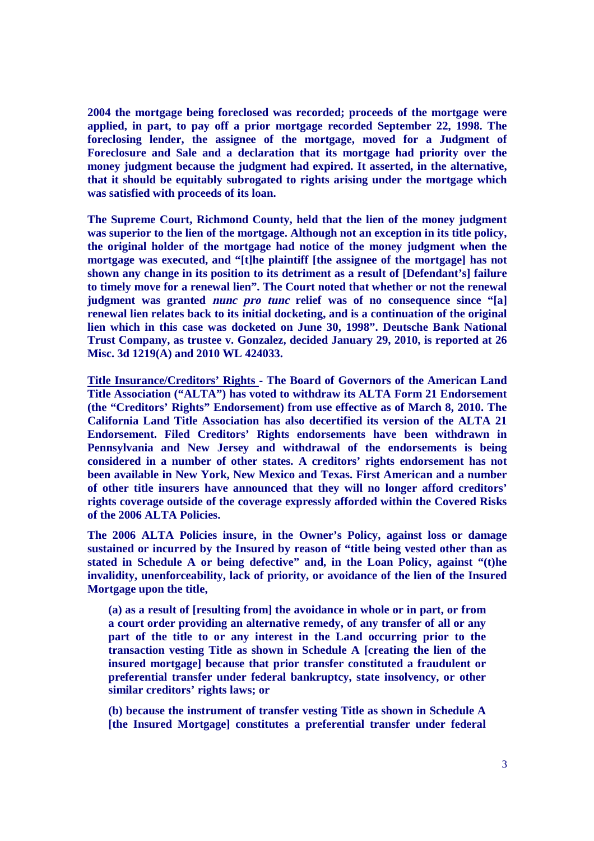**2004 the mortgage being foreclosed was recorded; proceeds of the mortgage were applied, in part, to pay off a prior mortgage recorded September 22, 1998. The foreclosing lender, the assignee of the mortgage, moved for a Judgment of Foreclosure and Sale and a declaration that its mortgage had priority over the money judgment because the judgment had expired. It asserted, in the alternative, that it should be equitably subrogated to rights arising under the mortgage which was satisfied with proceeds of its loan.**

**The Supreme Court, Richmond County, held that the lien of the money judgment was superior to the lien of the mortgage. Although not an exception in its title policy, the original holder of the mortgage had notice of the money judgment when the mortgage was executed, and "[t]he plaintiff [the assignee of the mortgage] has not shown any change in its position to its detriment as a result of [Defendant's] failure to timely move for a renewal lien". The Court noted that whether or not the renewal judgment was granted nunc pro tunc relief was of no consequence since "[a] renewal lien relates back to its initial docketing, and is a continuation of the original lien which in this case was docketed on June 30, 1998". Deutsche Bank National Trust Company, as trustee v. Gonzalez, decided January 29, 2010, is reported at 26 Misc. 3d 1219(A) and 2010 WL 424033.**

**Title Insurance/Creditors' Rights - The Board of Governors of the American Land Title Association ("ALTA") has voted to withdraw its ALTA Form 21 Endorsement (the "Creditors' Rights" Endorsement) from use effective as of March 8, 2010. The California Land Title Association has also decertified its version of the ALTA 21 Endorsement. Filed Creditors' Rights endorsements have been withdrawn in Pennsylvania and New Jersey and withdrawal of the endorsements is being considered in a number of other states. A creditors' rights endorsement has not been available in New York, New Mexico and Texas. First American and a number of other title insurers have announced that they will no longer afford creditors' rights coverage outside of the coverage expressly afforded within the Covered Risks of the 2006 ALTA Policies.**

**The 2006 ALTA Policies insure, in the Owner's Policy, against loss or damage sustained or incurred by the Insured by reason of "title being vested other than as stated in Schedule A or being defective" and, in the Loan Policy, against "(t)he invalidity, unenforceability, lack of priority, or avoidance of the lien of the Insured Mortgage upon the title,**

**(a) as a result of [resulting from] the avoidance in whole or in part, or from a court order providing an alternative remedy, of any transfer of all or any part of the title to or any interest in the Land occurring prior to the transaction vesting Title as shown in Schedule A [creating the lien of the insured mortgage] because that prior transfer constituted a fraudulent or preferential transfer under federal bankruptcy, state insolvency, or other similar creditors' rights laws; or**

**(b) because the instrument of transfer vesting Title as shown in Schedule A [the Insured Mortgage] constitutes a preferential transfer under federal**